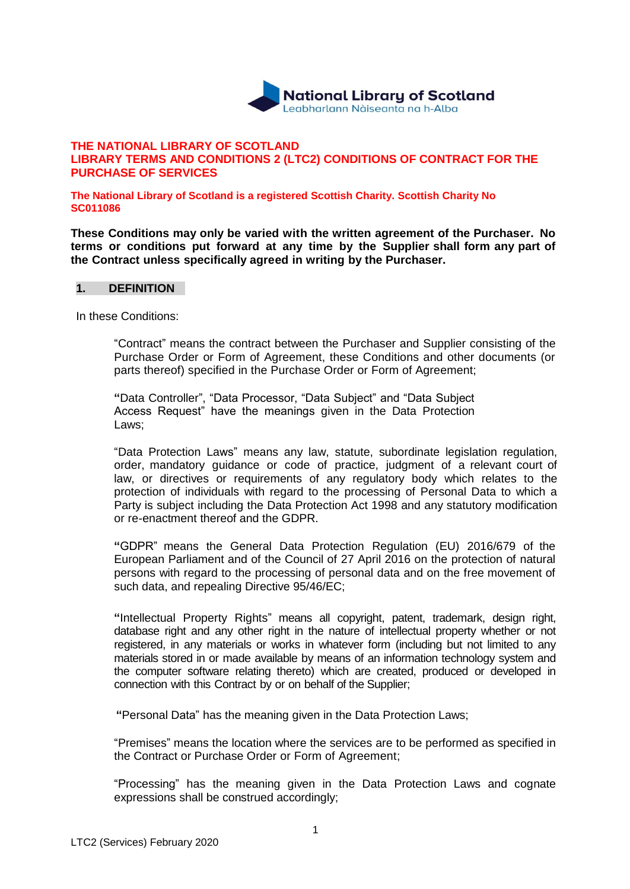

#### **THE NATIONAL LIBRARY OF SCOTLAND LIBRARY TERMS AND CONDITIONS 2 (LTC2) CONDITIONS OF CONTRACT FOR THE PURCHASE OF SERVICES**

**The National Library of Scotland is a registered Scottish Charity. Scottish Charity No SC011086**

**These Conditions may only be varied with the written agreement of the Purchaser. No terms or conditions put forward at any time by the Supplier shall form any part of the Contract unless specifically agreed in writing by the Purchaser.**

#### **1. DEFINITION**

In these Conditions:

"Contract" means the contract between the Purchaser and Supplier consisting of the Purchase Order or Form of Agreement, these Conditions and other documents (or parts thereof) specified in the Purchase Order or Form of Agreement;

**"**Data Controller", "Data Processor, "Data Subject" and "Data Subject Access Request" have the meanings given in the Data Protection Laws;

"Data Protection Laws" means any law, statute, subordinate legislation regulation, order, mandatory guidance or code of practice, judgment of a relevant court of law, or directives or requirements of any regulatory body which relates to the protection of individuals with regard to the processing of Personal Data to which a Party is subject including the Data Protection Act 1998 and any statutory modification or re-enactment thereof and the GDPR.

**"**GDPR" means the General Data Protection Regulation (EU) 2016/679 of the European Parliament and of the Council of 27 April 2016 on the protection of natural persons with regard to the processing of personal data and on the free movement of such data, and repealing Directive 95/46/EC;

**"**Intellectual Property Rights" means all copyright, patent, trademark, design right, database right and any other right in the nature of intellectual property whether or not registered, in any materials or works in whatever form (including but not limited to any materials stored in or made available by means of an information technology system and the computer software relating thereto) which are created, produced or developed in connection with this Contract by or on behalf of the Supplier;

**"**Personal Data" has the meaning given in the Data Protection Laws;

"Premises" means the location where the services are to be performed as specified in the Contract or Purchase Order or Form of Agreement;

"Processing" has the meaning given in the Data Protection Laws and cognate expressions shall be construed accordingly;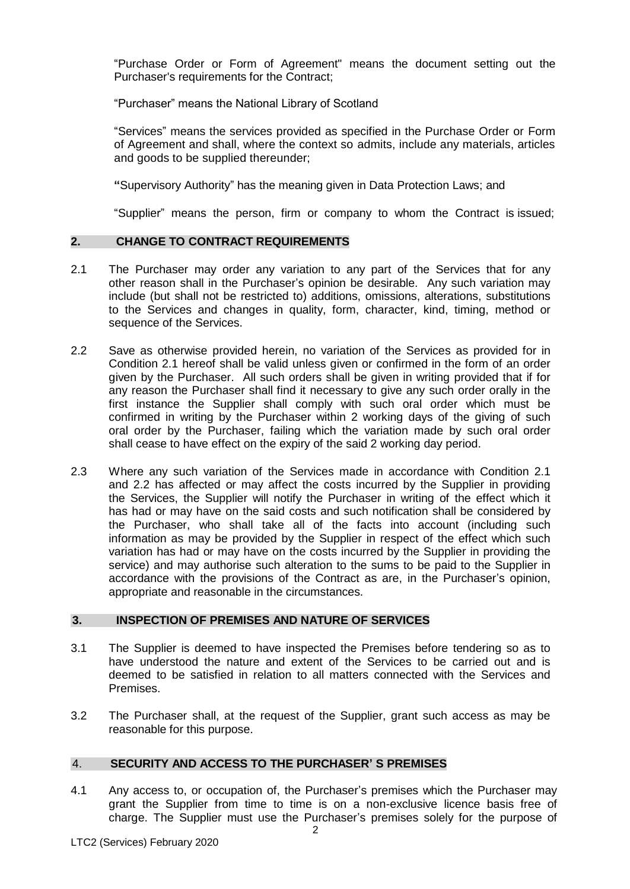"Purchase Order or Form of Agreement" means the document setting out the Purchaser's requirements for the Contract;

"Purchaser" means the National Library of Scotland

"Services" means the services provided as specified in the Purchase Order or Form of Agreement and shall, where the context so admits, include any materials, articles and goods to be supplied thereunder;

**"**Supervisory Authority" has the meaning given in Data Protection Laws; and

"Supplier" means the person, firm or company to whom the Contract is issued;

## **2. CHANGE TO CONTRACT REQUIREMENTS**

- 2.1 The Purchaser may order any variation to any part of the Services that for any other reason shall in the Purchaser's opinion be desirable. Any such variation may include (but shall not be restricted to) additions, omissions, alterations, substitutions to the Services and changes in quality, form, character, kind, timing, method or sequence of the Services.
- 2.2 Save as otherwise provided herein, no variation of the Services as provided for in Condition 2.1 hereof shall be valid unless given or confirmed in the form of an order given by the Purchaser. All such orders shall be given in writing provided that if for any reason the Purchaser shall find it necessary to give any such order orally in the first instance the Supplier shall comply with such oral order which must be confirmed in writing by the Purchaser within 2 working days of the giving of such oral order by the Purchaser, failing which the variation made by such oral order shall cease to have effect on the expiry of the said 2 working day period.
- 2.3 Where any such variation of the Services made in accordance with Condition 2.1 and 2.2 has affected or may affect the costs incurred by the Supplier in providing the Services, the Supplier will notify the Purchaser in writing of the effect which it has had or may have on the said costs and such notification shall be considered by the Purchaser, who shall take all of the facts into account (including such information as may be provided by the Supplier in respect of the effect which such variation has had or may have on the costs incurred by the Supplier in providing the service) and may authorise such alteration to the sums to be paid to the Supplier in accordance with the provisions of the Contract as are, in the Purchaser's opinion, appropriate and reasonable in the circumstances.

#### **3. INSPECTION OF PREMISES AND NATURE OF SERVICES**

- 3.1 The Supplier is deemed to have inspected the Premises before tendering so as to have understood the nature and extent of the Services to be carried out and is deemed to be satisfied in relation to all matters connected with the Services and Premises.
- 3.2 The Purchaser shall, at the request of the Supplier, grant such access as may be reasonable for this purpose.

## 4. **SECURITY AND ACCESS TO THE PURCHASER' S PREMISES**

4.1 Any access to, or occupation of, the Purchaser's premises which the Purchaser may grant the Supplier from time to time is on a non-exclusive licence basis free of charge. The Supplier must use the Purchaser's premises solely for the purpose of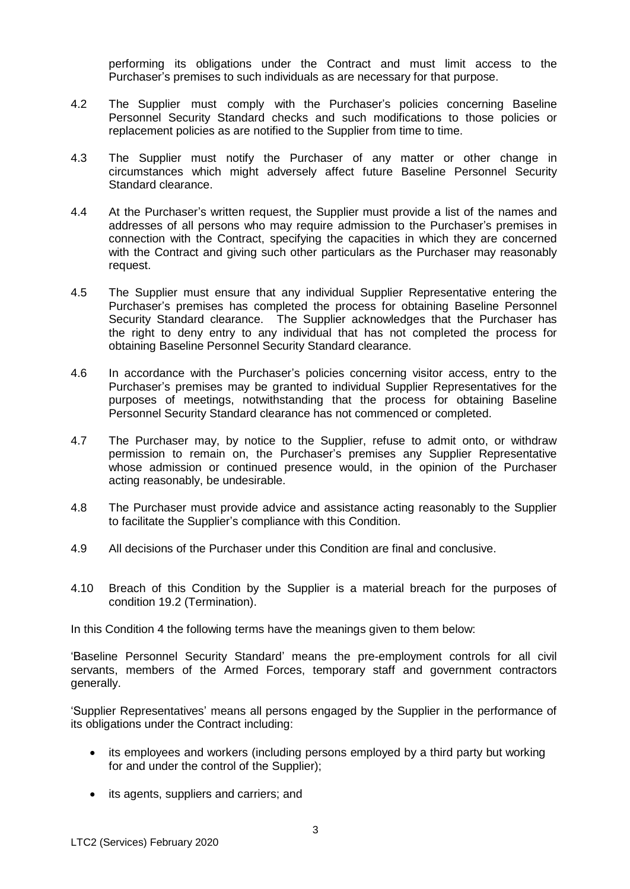performing its obligations under the Contract and must limit access to the Purchaser's premises to such individuals as are necessary for that purpose.

- 4.2 The Supplier must comply with the Purchaser's policies concerning Baseline Personnel Security Standard checks and such modifications to those policies or replacement policies as are notified to the Supplier from time to time.
- 4.3 The Supplier must notify the Purchaser of any matter or other change in circumstances which might adversely affect future Baseline Personnel Security Standard clearance.
- 4.4 At the Purchaser's written request, the Supplier must provide a list of the names and addresses of all persons who may require admission to the Purchaser's premises in connection with the Contract, specifying the capacities in which they are concerned with the Contract and giving such other particulars as the Purchaser may reasonably request.
- 4.5 The Supplier must ensure that any individual Supplier Representative entering the Purchaser's premises has completed the process for obtaining Baseline Personnel Security Standard clearance. The Supplier acknowledges that the Purchaser has the right to deny entry to any individual that has not completed the process for obtaining Baseline Personnel Security Standard clearance.
- 4.6 In accordance with the Purchaser's policies concerning visitor access, entry to the Purchaser's premises may be granted to individual Supplier Representatives for the purposes of meetings, notwithstanding that the process for obtaining Baseline Personnel Security Standard clearance has not commenced or completed.
- 4.7 The Purchaser may, by notice to the Supplier, refuse to admit onto, or withdraw permission to remain on, the Purchaser's premises any Supplier Representative whose admission or continued presence would, in the opinion of the Purchaser acting reasonably, be undesirable.
- 4.8 The Purchaser must provide advice and assistance acting reasonably to the Supplier to facilitate the Supplier's compliance with this Condition.
- 4.9 All decisions of the Purchaser under this Condition are final and conclusive.
- 4.10 Breach of this Condition by the Supplier is a material breach for the purposes of condition 19.2 (Termination).

In this Condition 4 the following terms have the meanings given to them below:

'Baseline Personnel Security Standard' means the pre-employment controls for all civil servants, members of the Armed Forces, temporary staff and government contractors generally.

'Supplier Representatives' means all persons engaged by the Supplier in the performance of its obligations under the Contract including:

- its employees and workers (including persons employed by a third party but working for and under the control of the Supplier);
- its agents, suppliers and carriers; and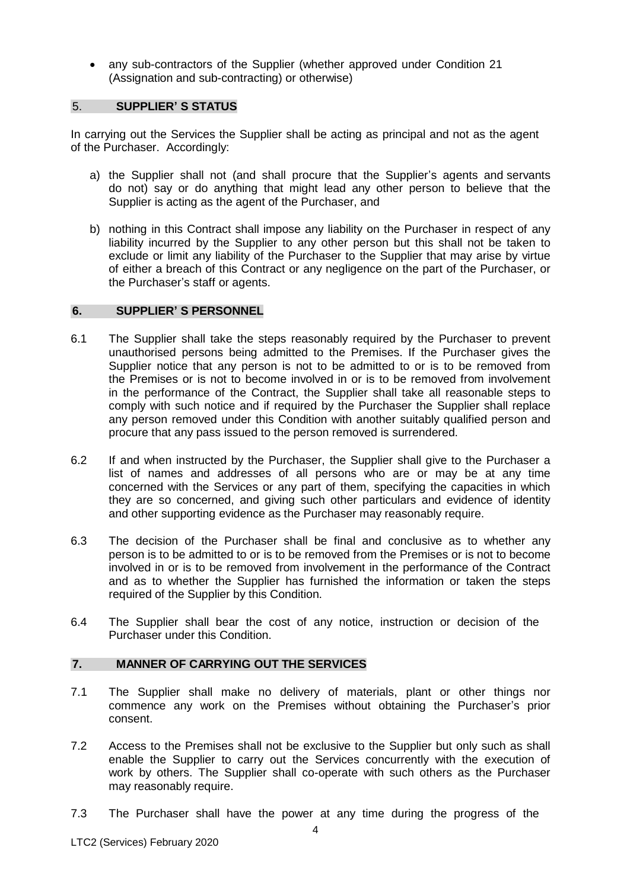any sub-contractors of the Supplier (whether approved under Condition 21 (Assignation and sub-contracting) or otherwise)

#### 5. **SUPPLIER' S STATUS**

In carrying out the Services the Supplier shall be acting as principal and not as the agent of the Purchaser. Accordingly:

- a) the Supplier shall not (and shall procure that the Supplier's agents and servants do not) say or do anything that might lead any other person to believe that the Supplier is acting as the agent of the Purchaser, and
- b) nothing in this Contract shall impose any liability on the Purchaser in respect of any liability incurred by the Supplier to any other person but this shall not be taken to exclude or limit any liability of the Purchaser to the Supplier that may arise by virtue of either a breach of this Contract or any negligence on the part of the Purchaser, or the Purchaser's staff or agents.

#### **6. SUPPLIER' S PERSONNEL**

- 6.1 The Supplier shall take the steps reasonably required by the Purchaser to prevent unauthorised persons being admitted to the Premises. If the Purchaser gives the Supplier notice that any person is not to be admitted to or is to be removed from the Premises or is not to become involved in or is to be removed from involvement in the performance of the Contract, the Supplier shall take all reasonable steps to comply with such notice and if required by the Purchaser the Supplier shall replace any person removed under this Condition with another suitably qualified person and procure that any pass issued to the person removed is surrendered.
- 6.2 If and when instructed by the Purchaser, the Supplier shall give to the Purchaser a list of names and addresses of all persons who are or may be at any time concerned with the Services or any part of them, specifying the capacities in which they are so concerned, and giving such other particulars and evidence of identity and other supporting evidence as the Purchaser may reasonably require.
- 6.3 The decision of the Purchaser shall be final and conclusive as to whether any person is to be admitted to or is to be removed from the Premises or is not to become involved in or is to be removed from involvement in the performance of the Contract and as to whether the Supplier has furnished the information or taken the steps required of the Supplier by this Condition.
- 6.4 The Supplier shall bear the cost of any notice, instruction or decision of the Purchaser under this Condition.

## **7. MANNER OF CARRYING OUT THE SERVICES**

- 7.1 The Supplier shall make no delivery of materials, plant or other things nor commence any work on the Premises without obtaining the Purchaser's prior consent.
- 7.2 Access to the Premises shall not be exclusive to the Supplier but only such as shall enable the Supplier to carry out the Services concurrently with the execution of work by others. The Supplier shall co-operate with such others as the Purchaser may reasonably require.
- 7.3 The Purchaser shall have the power at any time during the progress of the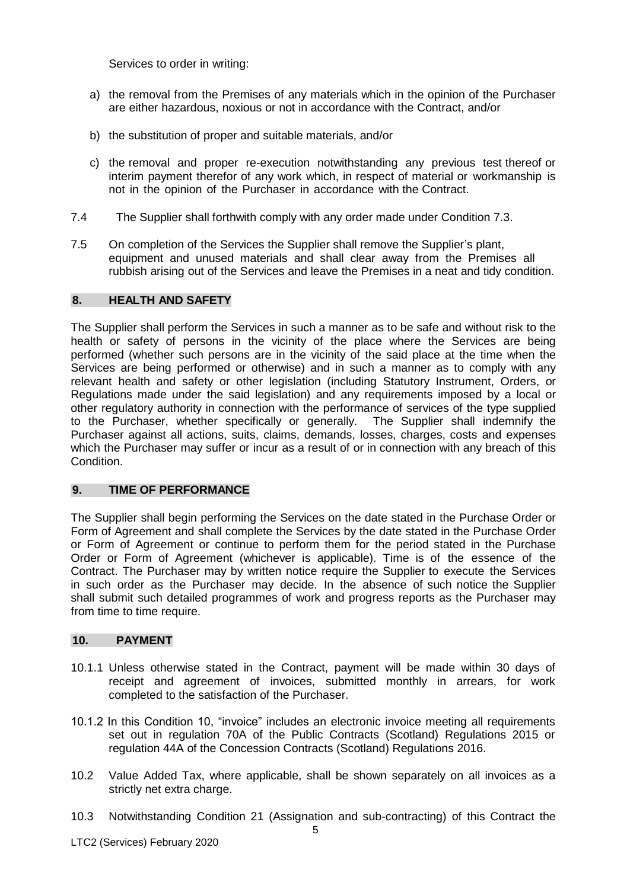Services to order in writing:

- a) the removal from the Premises of any materials which in the opinion of the Purchaser are either hazardous, noxious or not in accordance with the Contract, and/or
- b) the substitution of proper and suitable materials, and/or
- c) the removal and proper re-execution notwithstanding any previous test thereof or interim payment therefor of any work which, in respect of material or workmanship is not in the opinion of the Purchaser in accordance with the Contract.
- 7.4 The Supplier shall forthwith comply with any order made under Condition 7.3.
- 7.5 On completion of the Services the Supplier shall remove the Supplier's plant, equipment and unused materials and shall clear away from the Premises all rubbish arising out of the Services and leave the Premises in a neat and tidy condition.

## **8. HEALTH AND SAFETY**

The Supplier shall perform the Services in such a manner as to be safe and without risk to the health or safety of persons in the vicinity of the place where the Services are being performed (whether such persons are in the vicinity of the said place at the time when the Services are being performed or otherwise) and in such a manner as to comply with any relevant health and safety or other legislation (including Statutory Instrument, Orders, or Regulations made under the said legislation) and any requirements imposed by a local or other regulatory authority in connection with the performance of services of the type supplied to the Purchaser, whether specifically or generally. The Supplier shall indemnify the Purchaser against all actions, suits, claims, demands, losses, charges, costs and expenses which the Purchaser may suffer or incur as a result of or in connection with any breach of this Condition.

#### **9. TIME OF PERFORMANCE**

The Supplier shall begin performing the Services on the date stated in the Purchase Order or Form of Agreement and shall complete the Services by the date stated in the Purchase Order or Form of Agreement or continue to perform them for the period stated in the Purchase Order or Form of Agreement (whichever is applicable). Time is of the essence of the Contract. The Purchaser may by written notice require the Supplier to execute the Services in such order as the Purchaser may decide. In the absence of such notice the Supplier shall submit such detailed programmes of work and progress reports as the Purchaser may from time to time require.

#### **10. PAYMENT**

- 10.1.1 Unless otherwise stated in the Contract, payment will be made within 30 days of receipt and agreement of invoices, submitted monthly in arrears, for work completed to the satisfaction of the Purchaser.
- 10.1.2 In this Condition 10, "invoice" includes an electronic invoice meeting all requirements set out in regulation 70A of the Public Contracts (Scotland) Regulations 2015 or regulation 44A of the Concession Contracts (Scotland) Regulations 2016.
- 10.2 Value Added Tax, where applicable, shall be shown separately on all invoices as a strictly net extra charge.
- 10.3 Notwithstanding Condition 21 (Assignation and sub-contracting) of this Contract the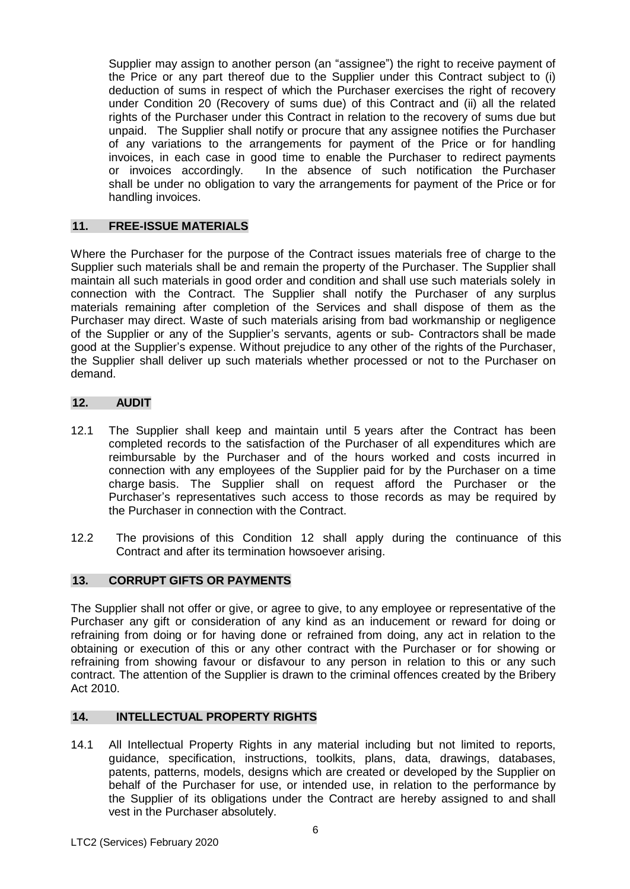Supplier may assign to another person (an "assignee") the right to receive payment of the Price or any part thereof due to the Supplier under this Contract subject to (i) deduction of sums in respect of which the Purchaser exercises the right of recovery under Condition 20 (Recovery of sums due) of this Contract and (ii) all the related rights of the Purchaser under this Contract in relation to the recovery of sums due but unpaid. The Supplier shall notify or procure that any assignee notifies the Purchaser of any variations to the arrangements for payment of the Price or for handling invoices, in each case in good time to enable the Purchaser to redirect payments or invoices accordingly. In the absence of such notification the Purchaser shall be under no obligation to vary the arrangements for payment of the Price or for handling invoices.

## **11. FREE-ISSUE MATERIALS**

Where the Purchaser for the purpose of the Contract issues materials free of charge to the Supplier such materials shall be and remain the property of the Purchaser. The Supplier shall maintain all such materials in good order and condition and shall use such materials solely in connection with the Contract. The Supplier shall notify the Purchaser of any surplus materials remaining after completion of the Services and shall dispose of them as the Purchaser may direct. Waste of such materials arising from bad workmanship or negligence of the Supplier or any of the Supplier's servants, agents or sub- Contractors shall be made good at the Supplier's expense. Without prejudice to any other of the rights of the Purchaser, the Supplier shall deliver up such materials whether processed or not to the Purchaser on demand.

#### **12. AUDIT**

- 12.1 The Supplier shall keep and maintain until 5 years after the Contract has been completed records to the satisfaction of the Purchaser of all expenditures which are reimbursable by the Purchaser and of the hours worked and costs incurred in connection with any employees of the Supplier paid for by the Purchaser on a time charge basis. The Supplier shall on request afford the Purchaser or the Purchaser's representatives such access to those records as may be required by the Purchaser in connection with the Contract.
- 12.2 The provisions of this Condition 12 shall apply during the continuance of this Contract and after its termination howsoever arising.

#### **13. CORRUPT GIFTS OR PAYMENTS**

The Supplier shall not offer or give, or agree to give, to any employee or representative of the Purchaser any gift or consideration of any kind as an inducement or reward for doing or refraining from doing or for having done or refrained from doing, any act in relation to the obtaining or execution of this or any other contract with the Purchaser or for showing or refraining from showing favour or disfavour to any person in relation to this or any such contract. The attention of the Supplier is drawn to the criminal offences created by the Bribery Act 2010.

#### **14. INTELLECTUAL PROPERTY RIGHTS**

14.1 All Intellectual Property Rights in any material including but not limited to reports, guidance, specification, instructions, toolkits, plans, data, drawings, databases, patents, patterns, models, designs which are created or developed by the Supplier on behalf of the Purchaser for use, or intended use, in relation to the performance by the Supplier of its obligations under the Contract are hereby assigned to and shall vest in the Purchaser absolutely.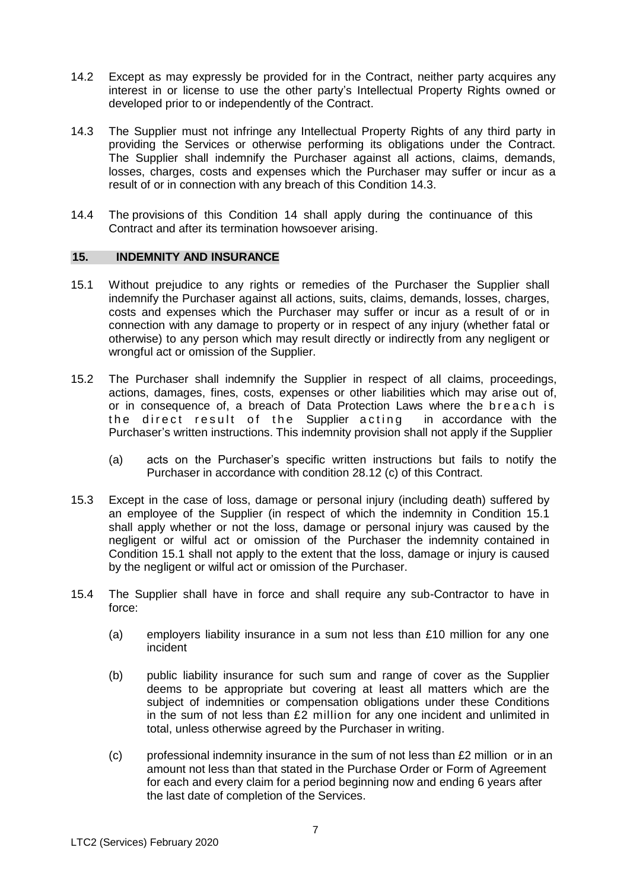- 14.2 Except as may expressly be provided for in the Contract, neither party acquires any interest in or license to use the other party's Intellectual Property Rights owned or developed prior to or independently of the Contract.
- 14.3 The Supplier must not infringe any Intellectual Property Rights of any third party in providing the Services or otherwise performing its obligations under the Contract. The Supplier shall indemnify the Purchaser against all actions, claims, demands, losses, charges, costs and expenses which the Purchaser may suffer or incur as a result of or in connection with any breach of this Condition 14.3.
- 14.4 The provisions of this Condition 14 shall apply during the continuance of this Contract and after its termination howsoever arising.

#### **15. INDEMNITY AND INSURANCE**

- 15.1 Without prejudice to any rights or remedies of the Purchaser the Supplier shall indemnify the Purchaser against all actions, suits, claims, demands, losses, charges, costs and expenses which the Purchaser may suffer or incur as a result of or in connection with any damage to property or in respect of any injury (whether fatal or otherwise) to any person which may result directly or indirectly from any negligent or wrongful act or omission of the Supplier.
- 15.2 The Purchaser shall indemnify the Supplier in respect of all claims, proceedings, actions, damages, fines, costs, expenses or other liabilities which may arise out of, or in consequence of, a breach of Data Protection Laws where the breach is the direct result of the Supplier acting in accordance with the Purchaser's written instructions. This indemnity provision shall not apply if the Supplier
	- (a) acts on the Purchaser's specific written instructions but fails to notify the Purchaser in accordance with condition 28.12 (c) of this Contract.
- 15.3 Except in the case of loss, damage or personal injury (including death) suffered by an employee of the Supplier (in respect of which the indemnity in Condition 15.1 shall apply whether or not the loss, damage or personal injury was caused by the negligent or wilful act or omission of the Purchaser the indemnity contained in Condition 15.1 shall not apply to the extent that the loss, damage or injury is caused by the negligent or wilful act or omission of the Purchaser.
- 15.4 The Supplier shall have in force and shall require any sub-Contractor to have in force:
	- (a) employers liability insurance in a sum not less than  $£10$  million for any one incident
	- (b) public liability insurance for such sum and range of cover as the Supplier deems to be appropriate but covering at least all matters which are the subject of indemnities or compensation obligations under these Conditions in the sum of not less than £2 million for any one incident and unlimited in total, unless otherwise agreed by the Purchaser in writing.
	- (c) professional indemnity insurance in the sum of not less than £2 million or in an amount not less than that stated in the Purchase Order or Form of Agreement for each and every claim for a period beginning now and ending 6 years after the last date of completion of the Services.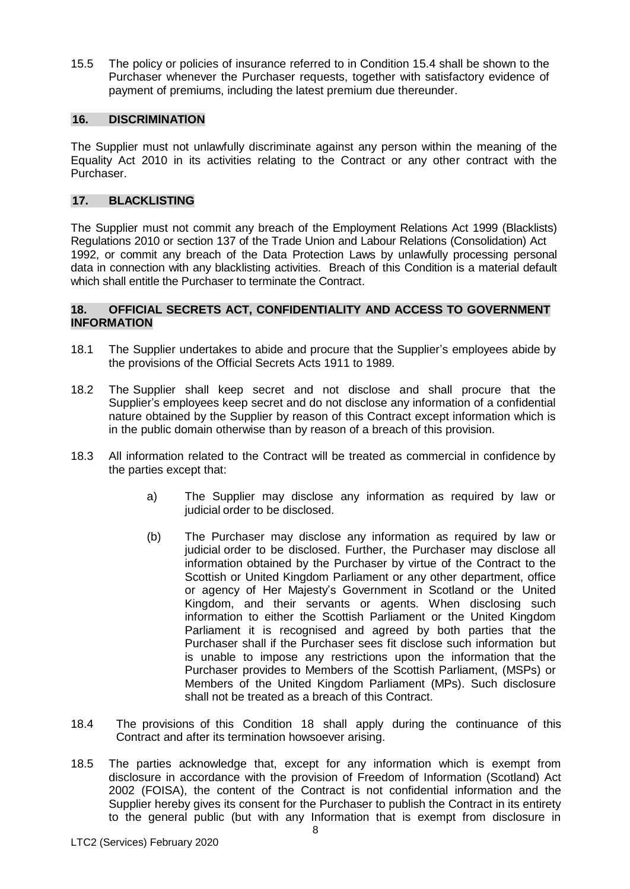15.5 The policy or policies of insurance referred to in Condition 15.4 shall be shown to the Purchaser whenever the Purchaser requests, together with satisfactory evidence of payment of premiums, including the latest premium due thereunder.

## **16. DISCRlMlNATlON**

The Supplier must not unlawfully discriminate against any person within the meaning of the Equality Act 2010 in its activities relating to the Contract or any other contract with the Purchaser.

## **17. BLACKLISTING**

The Supplier must not commit any breach of the Employment Relations Act 1999 (Blacklists) Regulations 2010 or section 137 of the Trade Union and Labour Relations (Consolidation) Act 1992, or commit any breach of the Data Protection Laws by unlawfully processing personal data in connection with any blacklisting activities. Breach of this Condition is a material default which shall entitle the Purchaser to terminate the Contract.

## **18. OFFICIAL SECRETS ACT, CONFIDENTIALITY AND ACCESS TO GOVERNMENT INFORMATION**

- 18.1 The Supplier undertakes to abide and procure that the Supplier's employees abide by the provisions of the Official Secrets Acts 1911 to 1989.
- 18.2 The Supplier shall keep secret and not disclose and shall procure that the Supplier's employees keep secret and do not disclose any information of a confidential nature obtained by the Supplier by reason of this Contract except information which is in the public domain otherwise than by reason of a breach of this provision.
- 18.3 All information related to the Contract will be treated as commercial in confidence by the parties except that:
	- a) The Supplier may disclose any information as required by law or judicial order to be disclosed.
	- (b) The Purchaser may disclose any information as required by law or judicial order to be disclosed. Further, the Purchaser may disclose all information obtained by the Purchaser by virtue of the Contract to the Scottish or United Kingdom Parliament or any other department, office or agency of Her Majesty's Government in Scotland or the United Kingdom, and their servants or agents. When disclosing such information to either the Scottish Parliament or the United Kingdom Parliament it is recognised and agreed by both parties that the Purchaser shall if the Purchaser sees fit disclose such information but is unable to impose any restrictions upon the information that the Purchaser provides to Members of the Scottish Parliament, (MSPs) or Members of the United Kingdom Parliament (MPs). Such disclosure shall not be treated as a breach of this Contract.
- 18.4 The provisions of this Condition 18 shall apply during the continuance of this Contract and after its termination howsoever arising.
- 18.5 The parties acknowledge that, except for any information which is exempt from disclosure in accordance with the provision of Freedom of Information (Scotland) Act 2002 (FOISA), the content of the Contract is not confidential information and the Supplier hereby gives its consent for the Purchaser to publish the Contract in its entirety to the general public (but with any Information that is exempt from disclosure in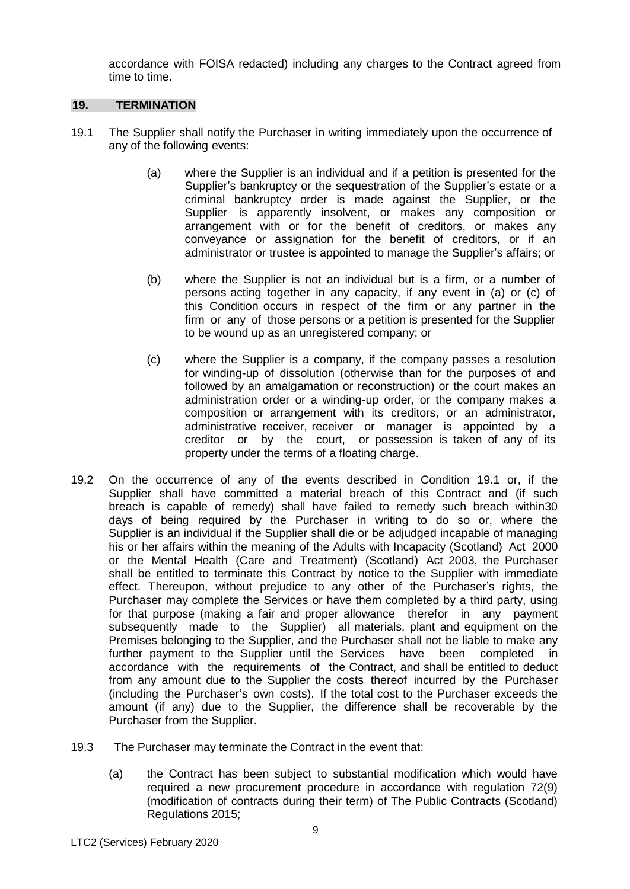accordance with FOISA redacted) including any charges to the Contract agreed from time to time.

### **19. TERMINATION**

- 19.1 The Supplier shall notify the Purchaser in writing immediately upon the occurrence of any of the following events:
	- (a) where the Supplier is an individual and if a petition is presented for the Supplier's bankruptcy or the sequestration of the Supplier's estate or a criminal bankruptcy order is made against the Supplier, or the Supplier is apparently insolvent, or makes any composition or arrangement with or for the benefit of creditors, or makes any conveyance or assignation for the benefit of creditors, or if an administrator or trustee is appointed to manage the Supplier's affairs; or
	- (b) where the Supplier is not an individual but is a firm, or a number of persons acting together in any capacity, if any event in (a) or (c) of this Condition occurs in respect of the firm or any partner in the firm or any of those persons or a petition is presented for the Supplier to be wound up as an unregistered company; or
	- (c) where the Supplier is a company, if the company passes a resolution for winding-up of dissolution (otherwise than for the purposes of and followed by an amalgamation or reconstruction) or the court makes an administration order or a winding-up order, or the company makes a composition or arrangement with its creditors, or an administrator, administrative receiver, receiver or manager is appointed by a creditor or by the court, or possession is taken of any of its property under the terms of a floating charge.
- 19.2 On the occurrence of any of the events described in Condition 19.1 or, if the Supplier shall have committed a material breach of this Contract and (if such breach is capable of remedy) shall have failed to remedy such breach within30 days of being required by the Purchaser in writing to do so or, where the Supplier is an individual if the Supplier shall die or be adjudged incapable of managing his or her affairs within the meaning of the Adults with Incapacity (Scotland) Act 2000 or the Mental Health (Care and Treatment) (Scotland) Act 2003, the Purchaser shall be entitled to terminate this Contract by notice to the Supplier with immediate effect. Thereupon, without prejudice to any other of the Purchaser's rights, the Purchaser may complete the Services or have them completed by a third party, using for that purpose (making a fair and proper allowance therefor in any payment subsequently made to the Supplier) all materials, plant and equipment on the Premises belonging to the Supplier, and the Purchaser shall not be liable to make any further payment to the Supplier until the Services have been completed in accordance with the requirements of the Contract, and shall be entitled to deduct from any amount due to the Supplier the costs thereof incurred by the Purchaser (including the Purchaser's own costs). If the total cost to the Purchaser exceeds the amount (if any) due to the Supplier, the difference shall be recoverable by the Purchaser from the Supplier.
- 19.3 The Purchaser may terminate the Contract in the event that:
	- (a) the Contract has been subject to substantial modification which would have required a new procurement procedure in accordance with regulation 72(9) (modification of contracts during their term) of The Public Contracts (Scotland) Regulations 2015;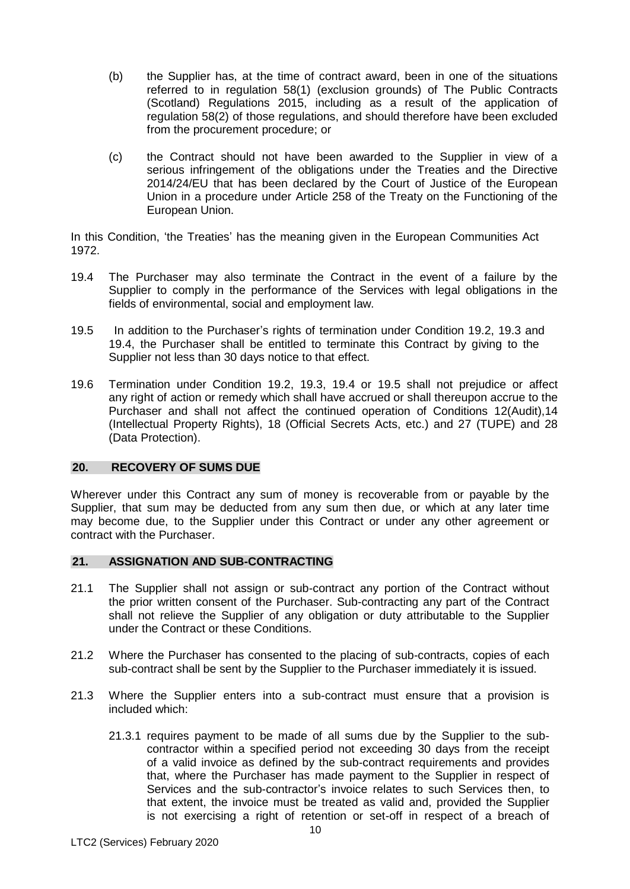- (b) the Supplier has, at the time of contract award, been in one of the situations referred to in regulation 58(1) (exclusion grounds) of The Public Contracts (Scotland) Regulations 2015, including as a result of the application of regulation 58(2) of those regulations, and should therefore have been excluded from the procurement procedure; or
- (c) the Contract should not have been awarded to the Supplier in view of a serious infringement of the obligations under the Treaties and the Directive 2014/24/EU that has been declared by the Court of Justice of the European Union in a procedure under Article 258 of the Treaty on the Functioning of the European Union.

In this Condition, 'the Treaties' has the meaning given in the European Communities Act 1972.

- 19.4 The Purchaser may also terminate the Contract in the event of a failure by the Supplier to comply in the performance of the Services with legal obligations in the fields of environmental, social and employment law.
- 19.5 In addition to the Purchaser's rights of termination under Condition 19.2, 19.3 and 19.4, the Purchaser shall be entitled to terminate this Contract by giving to the Supplier not less than 30 days notice to that effect.
- 19.6 Termination under Condition 19.2, 19.3, 19.4 or 19.5 shall not prejudice or affect any right of action or remedy which shall have accrued or shall thereupon accrue to the Purchaser and shall not affect the continued operation of Conditions 12(Audit),14 (Intellectual Property Rights), 18 (Official Secrets Acts, etc.) and 27 (TUPE) and 28 (Data Protection).

#### **20. RECOVERY OF SUMS DUE**

Wherever under this Contract any sum of money is recoverable from or payable by the Supplier, that sum may be deducted from any sum then due, or which at any later time may become due, to the Supplier under this Contract or under any other agreement or contract with the Purchaser.

#### **21. ASSIGNATION AND SUB-CONTRACTING**

- 21.1 The Supplier shall not assign or sub-contract any portion of the Contract without the prior written consent of the Purchaser. Sub-contracting any part of the Contract shall not relieve the Supplier of any obligation or duty attributable to the Supplier under the Contract or these Conditions.
- 21.2 Where the Purchaser has consented to the placing of sub-contracts, copies of each sub-contract shall be sent by the Supplier to the Purchaser immediately it is issued.
- 21.3 Where the Supplier enters into a sub-contract must ensure that a provision is included which:
	- 21.3.1 requires payment to be made of all sums due by the Supplier to the subcontractor within a specified period not exceeding 30 days from the receipt of a valid invoice as defined by the sub-contract requirements and provides that, where the Purchaser has made payment to the Supplier in respect of Services and the sub-contractor's invoice relates to such Services then, to that extent, the invoice must be treated as valid and, provided the Supplier is not exercising a right of retention or set-off in respect of a breach of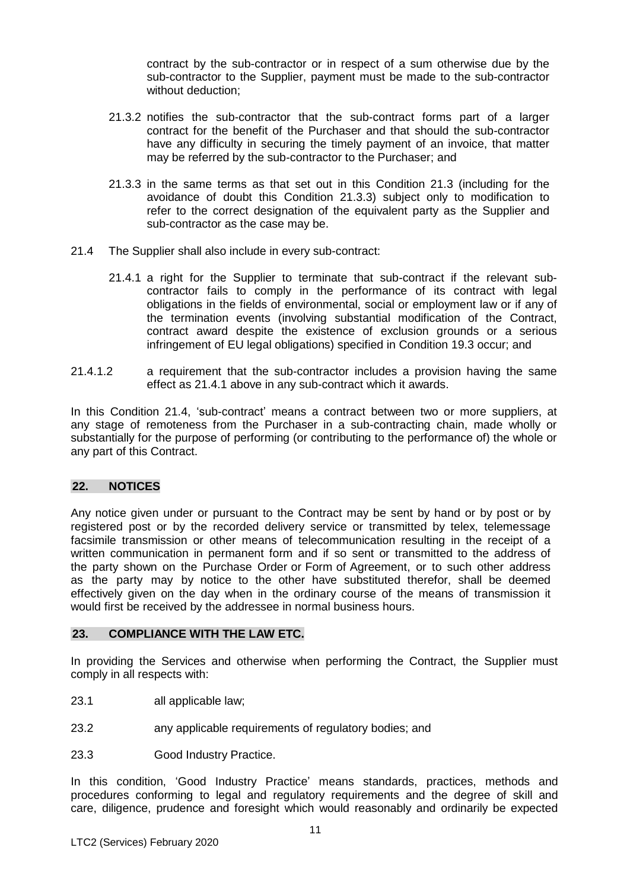contract by the sub-contractor or in respect of a sum otherwise due by the sub-contractor to the Supplier, payment must be made to the sub-contractor without deduction;

- 21.3.2 notifies the sub-contractor that the sub-contract forms part of a larger contract for the benefit of the Purchaser and that should the sub-contractor have any difficulty in securing the timely payment of an invoice, that matter may be referred by the sub-contractor to the Purchaser; and
- 21.3.3 in the same terms as that set out in this Condition 21.3 (including for the avoidance of doubt this Condition 21.3.3) subject only to modification to refer to the correct designation of the equivalent party as the Supplier and sub-contractor as the case may be.
- 21.4 The Supplier shall also include in every sub-contract:
	- 21.4.1 a right for the Supplier to terminate that sub-contract if the relevant subcontractor fails to comply in the performance of its contract with legal obligations in the fields of environmental, social or employment law or if any of the termination events (involving substantial modification of the Contract, contract award despite the existence of exclusion grounds or a serious infringement of EU legal obligations) specified in Condition 19.3 occur; and
- 21.4.1.2 a requirement that the sub-contractor includes a provision having the same effect as 21.4.1 above in any sub-contract which it awards.

In this Condition 21.4, 'sub-contract' means a contract between two or more suppliers, at any stage of remoteness from the Purchaser in a sub-contracting chain, made wholly or substantially for the purpose of performing (or contributing to the performance of) the whole or any part of this Contract.

## **22. NOTICES**

Any notice given under or pursuant to the Contract may be sent by hand or by post or by registered post or by the recorded delivery service or transmitted by telex, telemessage facsimile transmission or other means of telecommunication resulting in the receipt of a written communication in permanent form and if so sent or transmitted to the address of the party shown on the Purchase Order or Form of Agreement, or to such other address as the party may by notice to the other have substituted therefor, shall be deemed effectively given on the day when in the ordinary course of the means of transmission it would first be received by the addressee in normal business hours.

#### **23. COMPLIANCE WITH THE LAW ETC.**

In providing the Services and otherwise when performing the Contract, the Supplier must comply in all respects with:

- 23.1 all applicable law;
- 23.2 any applicable requirements of regulatory bodies; and
- 23.3 Good Industry Practice.

In this condition, 'Good Industry Practice' means standards, practices, methods and procedures conforming to legal and regulatory requirements and the degree of skill and care, diligence, prudence and foresight which would reasonably and ordinarily be expected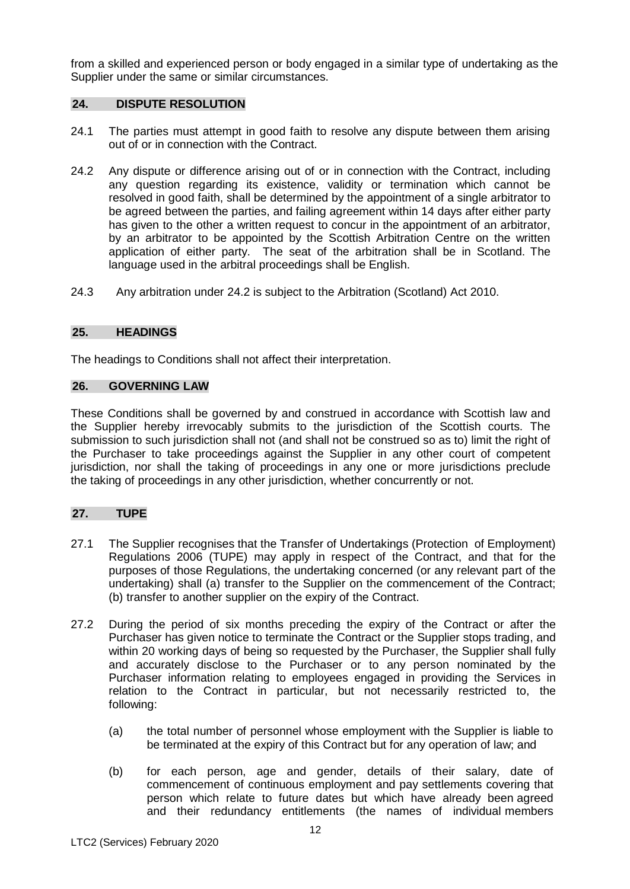from a skilled and experienced person or body engaged in a similar type of undertaking as the Supplier under the same or similar circumstances.

## **24. DISPUTE RESOLUTION**

- 24.1 The parties must attempt in good faith to resolve any dispute between them arising out of or in connection with the Contract.
- 24.2 Any dispute or difference arising out of or in connection with the Contract, including any question regarding its existence, validity or termination which cannot be resolved in good faith, shall be determined by the appointment of a single arbitrator to be agreed between the parties, and failing agreement within 14 days after either party has given to the other a written request to concur in the appointment of an arbitrator, by an arbitrator to be appointed by the Scottish Arbitration Centre on the written application of either party. The seat of the arbitration shall be in Scotland. The language used in the arbitral proceedings shall be English.
- 24.3 Any arbitration under 24.2 is subject to the Arbitration (Scotland) Act 2010.

## **25. HEADINGS**

The headings to Conditions shall not affect their interpretation.

## **26. GOVERNING LAW**

These Conditions shall be governed by and construed in accordance with Scottish law and the Supplier hereby irrevocably submits to the jurisdiction of the Scottish courts. The submission to such jurisdiction shall not (and shall not be construed so as to) limit the right of the Purchaser to take proceedings against the Supplier in any other court of competent jurisdiction, nor shall the taking of proceedings in any one or more jurisdictions preclude the taking of proceedings in any other jurisdiction, whether concurrently or not.

## **27. TUPE**

- 27.1 The Supplier recognises that the Transfer of Undertakings (Protection of Employment) Regulations 2006 (TUPE) may apply in respect of the Contract, and that for the purposes of those Regulations, the undertaking concerned (or any relevant part of the undertaking) shall (a) transfer to the Supplier on the commencement of the Contract; (b) transfer to another supplier on the expiry of the Contract.
- 27.2 During the period of six months preceding the expiry of the Contract or after the Purchaser has given notice to terminate the Contract or the Supplier stops trading, and within 20 working days of being so requested by the Purchaser, the Supplier shall fully and accurately disclose to the Purchaser or to any person nominated by the Purchaser information relating to employees engaged in providing the Services in relation to the Contract in particular, but not necessarily restricted to, the following:
	- (a) the total number of personnel whose employment with the Supplier is liable to be terminated at the expiry of this Contract but for any operation of law; and
	- (b) for each person, age and gender, details of their salary, date of commencement of continuous employment and pay settlements covering that person which relate to future dates but which have already been agreed and their redundancy entitlements (the names of individual members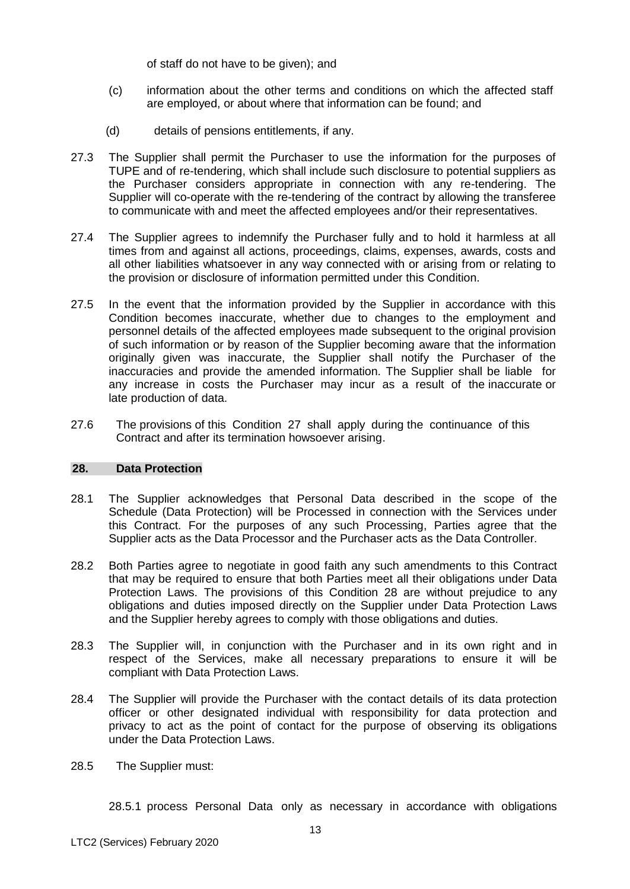of staff do not have to be given); and

- (c) information about the other terms and conditions on which the affected staff are employed, or about where that information can be found; and
- (d) details of pensions entitlements, if any.
- 27.3 The Supplier shall permit the Purchaser to use the information for the purposes of TUPE and of re-tendering, which shall include such disclosure to potential suppliers as the Purchaser considers appropriate in connection with any re-tendering. The Supplier will co-operate with the re-tendering of the contract by allowing the transferee to communicate with and meet the affected employees and/or their representatives.
- 27.4 The Supplier agrees to indemnify the Purchaser fully and to hold it harmless at all times from and against all actions, proceedings, claims, expenses, awards, costs and all other liabilities whatsoever in any way connected with or arising from or relating to the provision or disclosure of information permitted under this Condition.
- 27.5 In the event that the information provided by the Supplier in accordance with this Condition becomes inaccurate, whether due to changes to the employment and personnel details of the affected employees made subsequent to the original provision of such information or by reason of the Supplier becoming aware that the information originally given was inaccurate, the Supplier shall notify the Purchaser of the inaccuracies and provide the amended information. The Supplier shall be liable for any increase in costs the Purchaser may incur as a result of the inaccurate or late production of data.
- 27.6 The provisions of this Condition 27 shall apply during the continuance of this Contract and after its termination howsoever arising.

#### **28. Data Protection**

- 28.1 The Supplier acknowledges that Personal Data described in the scope of the Schedule (Data Protection) will be Processed in connection with the Services under this Contract. For the purposes of any such Processing, Parties agree that the Supplier acts as the Data Processor and the Purchaser acts as the Data Controller.
- 28.2 Both Parties agree to negotiate in good faith any such amendments to this Contract that may be required to ensure that both Parties meet all their obligations under Data Protection Laws. The provisions of this Condition 28 are without prejudice to any obligations and duties imposed directly on the Supplier under Data Protection Laws and the Supplier hereby agrees to comply with those obligations and duties.
- 28.3 The Supplier will, in conjunction with the Purchaser and in its own right and in respect of the Services, make all necessary preparations to ensure it will be compliant with Data Protection Laws.
- 28.4 The Supplier will provide the Purchaser with the contact details of its data protection officer or other designated individual with responsibility for data protection and privacy to act as the point of contact for the purpose of observing its obligations under the Data Protection Laws.
- 28.5 The Supplier must:

28.5.1 process Personal Data only as necessary in accordance with obligations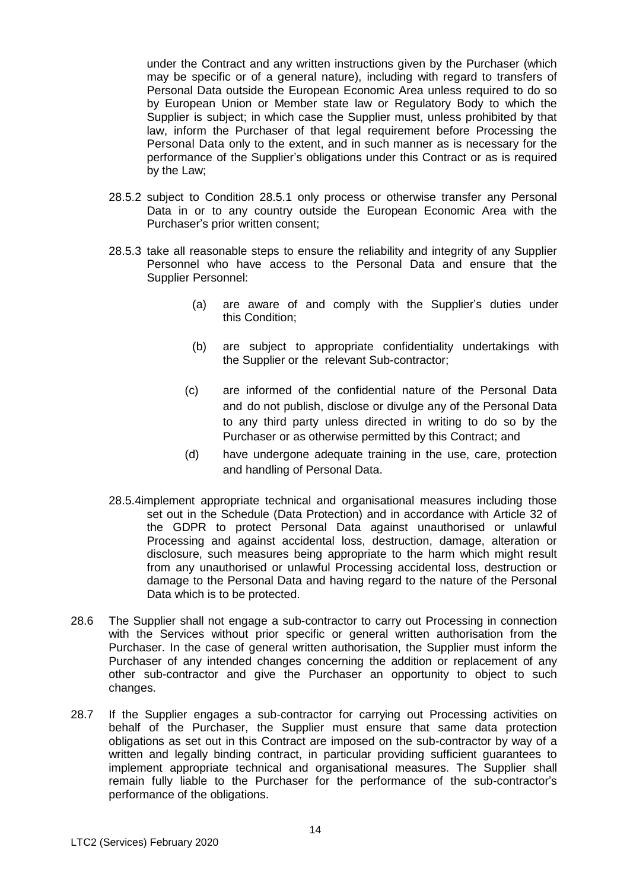under the Contract and any written instructions given by the Purchaser (which may be specific or of a general nature), including with regard to transfers of Personal Data outside the European Economic Area unless required to do so by European Union or Member state law or Regulatory Body to which the Supplier is subject; in which case the Supplier must, unless prohibited by that law, inform the Purchaser of that legal requirement before Processing the Personal Data only to the extent, and in such manner as is necessary for the performance of the Supplier's obligations under this Contract or as is required by the Law;

- 28.5.2 subject to Condition 28.5.1 only process or otherwise transfer any Personal Data in or to any country outside the European Economic Area with the Purchaser's prior written consent;
- 28.5.3 take all reasonable steps to ensure the reliability and integrity of any Supplier Personnel who have access to the Personal Data and ensure that the Supplier Personnel:
	- (a) are aware of and comply with the Supplier's duties under this Condition;
	- (b) are subject to appropriate confidentiality undertakings with the Supplier or the relevant Sub-contractor;
	- (c) are informed of the confidential nature of the Personal Data and do not publish, disclose or divulge any of the Personal Data to any third party unless directed in writing to do so by the Purchaser or as otherwise permitted by this Contract; and
	- (d) have undergone adequate training in the use, care, protection and handling of Personal Data.
- 28.5.4implement appropriate technical and organisational measures including those set out in the Schedule (Data Protection) and in accordance with Article 32 of the GDPR to protect Personal Data against unauthorised or unlawful Processing and against accidental loss, destruction, damage, alteration or disclosure, such measures being appropriate to the harm which might result from any unauthorised or unlawful Processing accidental loss, destruction or damage to the Personal Data and having regard to the nature of the Personal Data which is to be protected.
- 28.6 The Supplier shall not engage a sub-contractor to carry out Processing in connection with the Services without prior specific or general written authorisation from the Purchaser. In the case of general written authorisation, the Supplier must inform the Purchaser of any intended changes concerning the addition or replacement of any other sub-contractor and give the Purchaser an opportunity to object to such changes.
- 28.7 If the Supplier engages a sub-contractor for carrying out Processing activities on behalf of the Purchaser, the Supplier must ensure that same data protection obligations as set out in this Contract are imposed on the sub-contractor by way of a written and legally binding contract, in particular providing sufficient guarantees to implement appropriate technical and organisational measures. The Supplier shall remain fully liable to the Purchaser for the performance of the sub-contractor's performance of the obligations.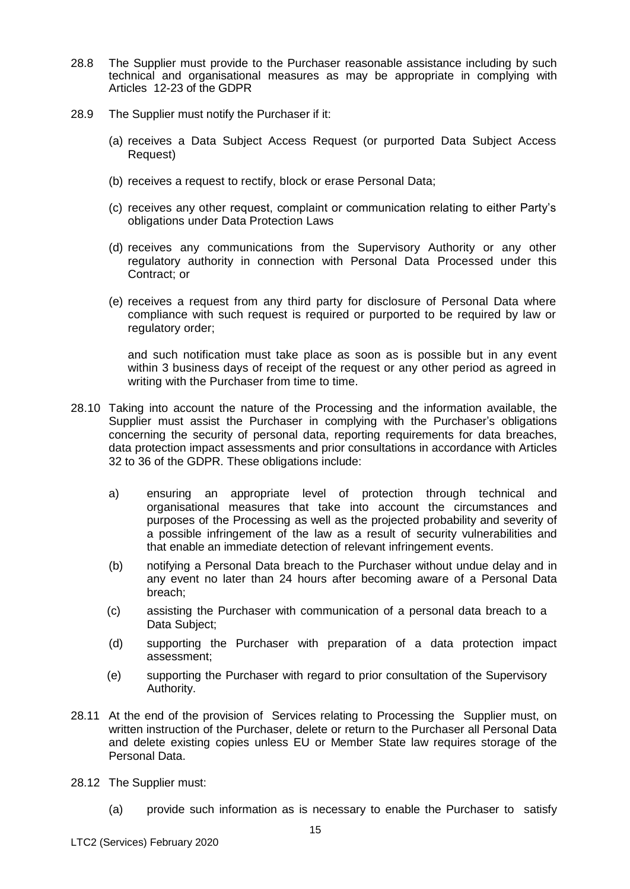- 28.8 The Supplier must provide to the Purchaser reasonable assistance including by such technical and organisational measures as may be appropriate in complying with Articles 12-23 of the GDPR
- 28.9 The Supplier must notify the Purchaser if it:
	- (a) receives a Data Subject Access Request (or purported Data Subject Access Request)
	- (b) receives a request to rectify, block or erase Personal Data;
	- (c) receives any other request, complaint or communication relating to either Party's obligations under Data Protection Laws
	- (d) receives any communications from the Supervisory Authority or any other regulatory authority in connection with Personal Data Processed under this Contract; or
	- (e) receives a request from any third party for disclosure of Personal Data where compliance with such request is required or purported to be required by law or regulatory order;

and such notification must take place as soon as is possible but in any event within 3 business days of receipt of the request or any other period as agreed in writing with the Purchaser from time to time.

- 28.10 Taking into account the nature of the Processing and the information available, the Supplier must assist the Purchaser in complying with the Purchaser's obligations concerning the security of personal data, reporting requirements for data breaches, data protection impact assessments and prior consultations in accordance with Articles 32 to 36 of the GDPR. These obligations include:
	- a) ensuring an appropriate level of protection through technical and organisational measures that take into account the circumstances and purposes of the Processing as well as the projected probability and severity of a possible infringement of the law as a result of security vulnerabilities and that enable an immediate detection of relevant infringement events.
	- (b) notifying a Personal Data breach to the Purchaser without undue delay and in any event no later than 24 hours after becoming aware of a Personal Data breach;
	- (c) assisting the Purchaser with communication of a personal data breach to a Data Subject;
	- (d) supporting the Purchaser with preparation of a data protection impact assessment;
	- (e) supporting the Purchaser with regard to prior consultation of the Supervisory Authority.
- 28.11 At the end of the provision of Services relating to Processing the Supplier must, on written instruction of the Purchaser, delete or return to the Purchaser all Personal Data and delete existing copies unless EU or Member State law requires storage of the Personal Data.
- 28.12 The Supplier must:
	- (a) provide such information as is necessary to enable the Purchaser to satisfy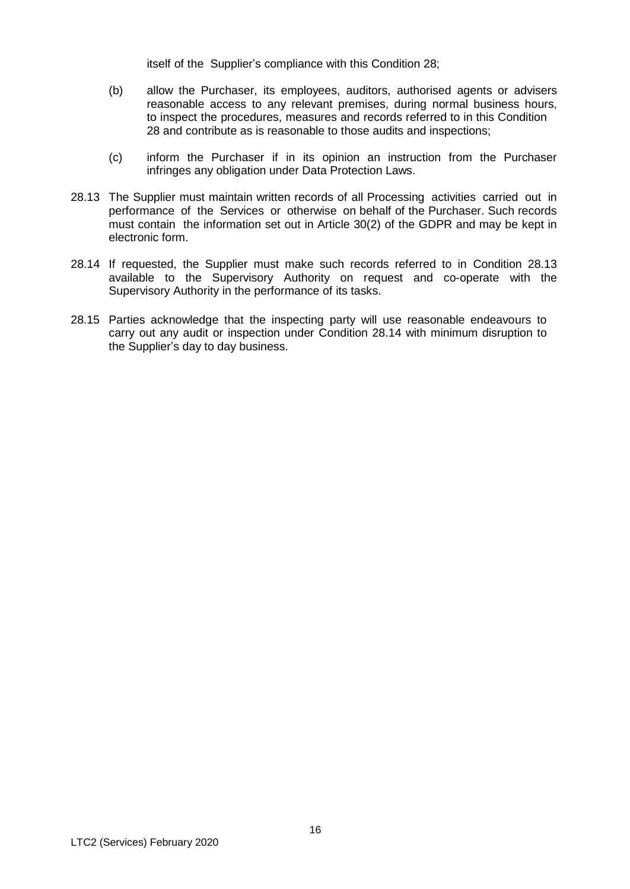itself of the Supplier's compliance with this Condition 28;

- (b) allow the Purchaser, its employees, auditors, authorised agents or advisers reasonable access to any relevant premises, during normal business hours, to inspect the procedures, measures and records referred to in this Condition 28 and contribute as is reasonable to those audits and inspections;
- (c) inform the Purchaser if in its opinion an instruction from the Purchaser infringes any obligation under Data Protection Laws.
- 28.13 The Supplier must maintain written records of all Processing activities carried out in performance of the Services or otherwise on behalf of the Purchaser. Such records must contain the information set out in Article 30(2) of the GDPR and may be kept in electronic form.
- 28.14 If requested, the Supplier must make such records referred to in Condition 28.13 available to the Supervisory Authority on request and co-operate with the Supervisory Authority in the performance of its tasks.
- 28.15 Parties acknowledge that the inspecting party will use reasonable endeavours to carry out any audit or inspection under Condition 28.14 with minimum disruption to the Supplier's day to day business.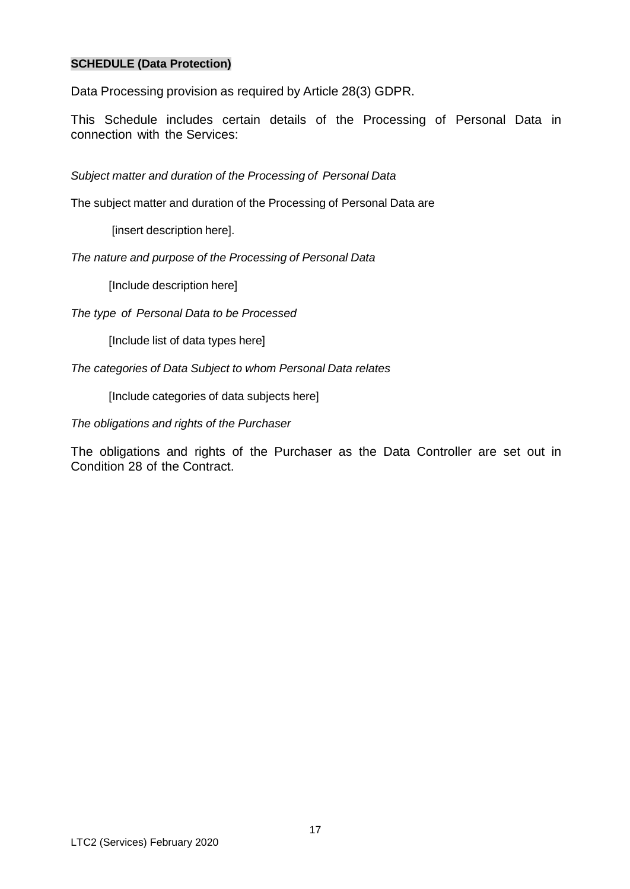## **SCHEDULE (Data Protection)**

Data Processing provision as required by Article 28(3) GDPR.

This Schedule includes certain details of the Processing of Personal Data in connection with the Services:

*Subject matter and duration of the Processing of Personal Data*

The subject matter and duration of the Processing of Personal Data are

[insert description here].

*The nature and purpose of the Processing of Personal Data*

[Include description here]

*The type of Personal Data to be Processed*

[Include list of data types here]

*The categories of Data Subject to whom Personal Data relates*

[Include categories of data subjects here]

*The obligations and rights of the Purchaser*

The obligations and rights of the Purchaser as the Data Controller are set out in Condition 28 of the Contract.